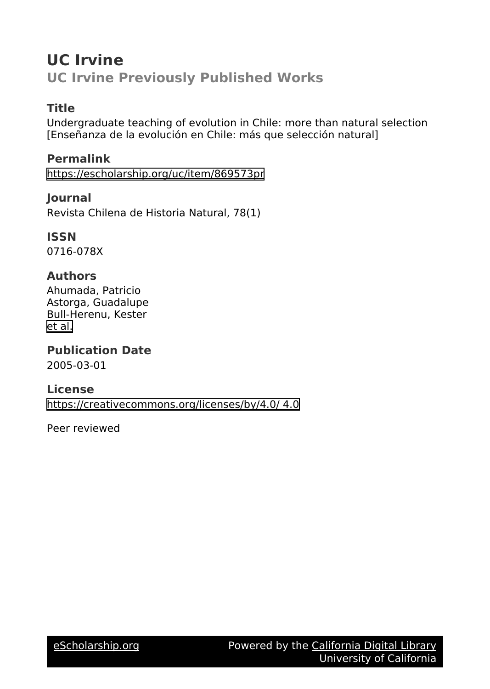# **UC Irvine UC Irvine Previously Published Works**

### **Title**

Undergraduate teaching of evolution in Chile: more than natural selection [Enseñanza de la evolución en Chile: más que selección natural]

## **Permalink**

<https://escholarship.org/uc/item/869573pr>

### **Journal**

Revista Chilena de Historia Natural, 78(1)

#### **ISSN**

0716-078X

### **Authors**

Ahumada, Patricio Astorga, Guadalupe Bull-Herenu, Kester [et al.](https://escholarship.org/uc/item/869573pr#author)

**Publication Date** 2005-03-01

#### **License**

[https://creativecommons.org/licenses/by/4.0/ 4.0](https://creativecommons.org/licenses/https://creativecommons.org/licenses/by/4.0//4.0)

Peer reviewed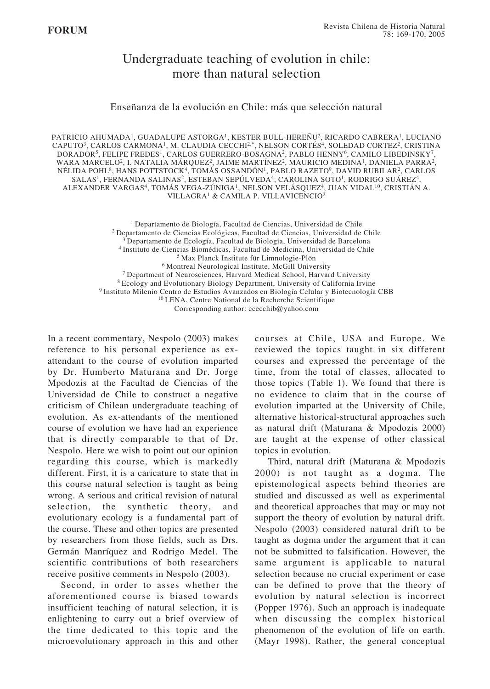## Undergraduate teaching of evolution in chile: more than natural selection

Enseñanza de la evolución en Chile: más que selección natural

PATRICIO AHUMADA1, GUADALUPE ASTORGA1, KESTER BULL-HEREÑU2, RICARDO CABRERA1, LUCIANO CAPUTO<sup>3</sup>, CARLOS CARMONA<sup>1</sup>, M. CLAUDIA CECCHI<sup>2,\*</sup>, NELSON CORTÉS<sup>4</sup>, SOLEDAD CORTEZ<sup>2</sup>, CRISTINA  $\mathsf{DORADOR^5},$  FELIPE FREDES $^1$ , CARLOS GUERRERO-BOSAGNA $^2$ , PABLO HENNY $^6$ , CAMILO LIBEDINSKY $^7$ , WARA MARCELO<sup>2</sup>, I. NATALIA MÁRQUEZ<sup>2</sup>, JAIME MARTÍNEZ<sup>2</sup>, MAURICIO MEDINA<sup>1</sup>, DANIELA PARRA<sup>2</sup>, NÉLIDA POHL8, HANS POTTSTOCK4, TOMÁS OSSANDÓN1, PABLO RAZETO9, DAVID RUBILAR2, CARLOS SALAS1, FERNANDA SALINAS2, ESTEBAN SEPÚLVEDA4, CAROLINA SOTO1, RODRIGO SUÁREZ4, ALEXANDER VARGAS4, TOMÁS VEGA-ZÚNIGA1, NELSON VELÁSQUEZ4, JUAN VIDAL10, CRISTIÁN A. VILLAGRA1 & CAMILA P. VILLAVICENCIO2

> 1 Departamento de Biología, Facultad de Ciencias, Universidad de Chile 2 Departamento de Ciencias Ecológicas, Facultad de Ciencias, Universidad de Chile 3 Departamento de Ecología, Facultad de Biología, Universidad de Barcelona 4 Instituto de Ciencias Biomédicas, Facultad de Medicina, Universidad de Chile 5 Max Planck Institute für Limnologie-Plön 6 Montreal Neurological Institute, McGill University 7 Department of Neurosciences, Harvard Medical School, Harvard University 8 Ecology and Evolutionary Biology Department, University of California Irvine 9 Instituto Milenio Centro de Estudios Avanzados en Biología Celular y Biotecnología CBB 10 LENA, Centre National de la Recherche Scientifique Corresponding author: ccecchib@yahoo.com

In a recent commentary, Nespolo (2003) makes reference to his personal experience as exattendant to the course of evolution imparted by Dr. Humberto Maturana and Dr. Jorge Mpodozis at the Facultad de Ciencias of the Universidad de Chile to construct a negative criticism of Chilean undergraduate teaching of evolution. As ex-attendants of the mentioned course of evolution we have had an experience that is directly comparable to that of Dr. Nespolo. Here we wish to point out our opinion regarding this course, which is markedly different. First, it is a caricature to state that in this course natural selection is taught as being wrong. A serious and critical revision of natural selection, the synthetic theory, and evolutionary ecology is a fundamental part of the course. These and other topics are presented by researchers from those fields, such as Drs. Germán Manríquez and Rodrigo Medel. The scientific contributions of both researchers receive positive comments in Nespolo (2003).

Second, in order to asses whether the aforementioned course is biased towards insufficient teaching of natural selection, it is enlightening to carry out a brief overview of the time dedicated to this topic and the microevolutionary approach in this and other

courses at Chile, USA and Europe. We reviewed the topics taught in six different courses and expressed the percentage of the time, from the total of classes, allocated to those topics (Table 1). We found that there is no evidence to claim that in the course of evolution imparted at the University of Chile, alternative historical-structural approaches such as natural drift (Maturana & Mpodozis 2000) are taught at the expense of other classical topics in evolution.

Third, natural drift (Maturana & Mpodozis 2000) is not taught as a dogma. The epistemological aspects behind theories are studied and discussed as well as experimental and theoretical approaches that may or may not support the theory of evolution by natural drift. Nespolo (2003) considered natural drift to be taught as dogma under the argument that it can not be submitted to falsification. However, the same argument is applicable to natural selection because no crucial experiment or case can be defined to prove that the theory of evolution by natural selection is incorrect (Popper 1976). Such an approach is inadequate when discussing the complex historical phenomenon of the evolution of life on earth. (Mayr 1998). Rather, the general conceptual